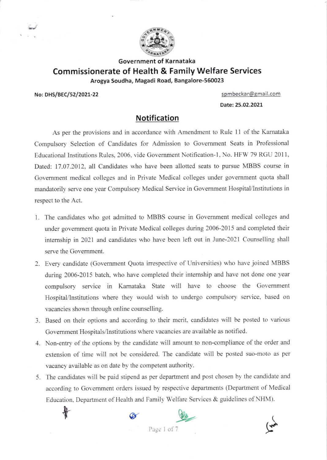

## Government of Karnataka Commissionerate of Health & Family Welfare Services Arogya Soudha, Magadi Road, Bangalore-550023

No: DHS/BEC/52/2021-22 Spmbeckar@gmail.com

Date:25.02.2021

Notification

As per the provisions and in accordance with Amendment to Rule 11 of the Karnataka Compulsory Selection of Candidates for Admission to Govemment Seats in Professional Educational Institutions Rules, 2006, vide Government Notification-1, No. HFW 79 RGU 2011, Dated: 17.07.2012, all Candidates who have been allotted seats to pursue MBBS course in Govemment medical colleges and in Private Medical colleges under govemment quota shall mandatorily serve one year Compulsory Medical Service in Government Hospital/Institutions in respect to the Act.

- 1. The candidates who got admitted to MBBS course in Government medical colleges and under govemment quota in Private Medical colleges during 2006-2015 and completed their intemship in 2021 and candidates who have been left out in June-2021 Counselling shall serve the Govemment.
- 2. Every candidate (Government Quota irrespective of Universities) who have joined MBBS dwing 2006-2015 batch, who have completed their intemship and have not done one year compulsory service in Kamataka State will have to choose the Govemment Hospital/Institutions where they would wish to undergo compulsory service, based on vacancies shown through online counselling.
- 3. Based on their options and according to their merit, candidates will be posted to various Govemment Hospitals/lnstitutions where vacancies are available as notified.
- Non-entry of the options by the candidate will amount to non-compliance of the order and 1 extension of time will not be considered. The candidate will be posted suo-moto as per vacancy available as on date by the competent authority.
- 5. The candidates will be paid stipend as per department and post chosen by the candidate and according to Govemment orders issued by respective departments (Department of Medical Education. Department of Health and Family Welfare Services & guidelines of NHM).